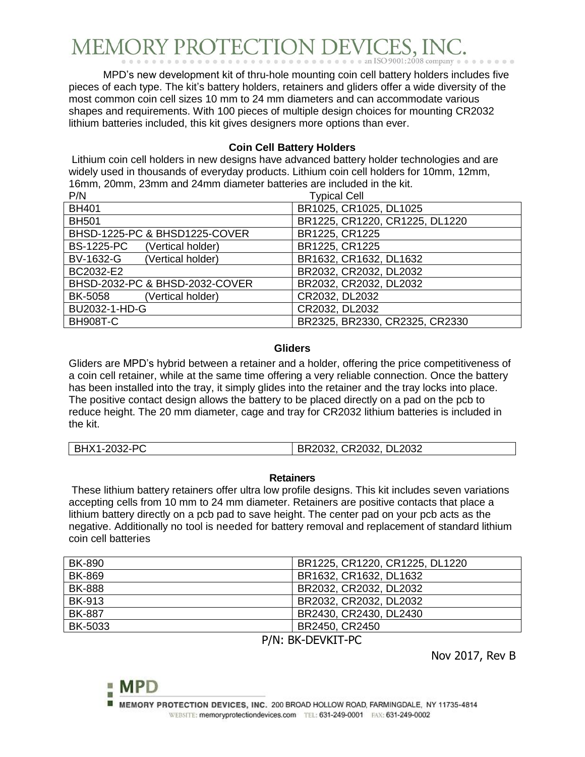## MEMORY PROTECTION DEVIC

MPD's new development kit of thru-hole mounting coin cell battery holders includes five pieces of each type. The kit's battery holders, retainers and gliders offer a wide diversity of the most common coin cell sizes 10 mm to 24 mm diameters and can accommodate various shapes and requirements. With 100 pieces of multiple design choices for mounting CR2032 lithium batteries included, this kit gives designers more options than ever.

## **Coin Cell Battery Holders**

Lithium coin cell holders in new designs have advanced battery holder technologies and are widely used in thousands of everyday products. Lithium coin cell holders for 10mm, 12mm, 16mm, 20mm, 23mm and 24mm diameter batteries are included in the kit.

| P/N                                    | <b>Typical Cell</b>            |
|----------------------------------------|--------------------------------|
| <b>BH401</b>                           | BR1025, CR1025, DL1025         |
| <b>BH501</b>                           | BR1225, CR1220, CR1225, DL1220 |
| BHSD-1225-PC & BHSD1225-COVER          | BR1225, CR1225                 |
| <b>BS-1225-PC</b><br>(Vertical holder) | BR1225, CR1225                 |
| (Vertical holder)<br>BV-1632-G         | BR1632, CR1632, DL1632         |
| BC2032-E2                              | BR2032, CR2032, DL2032         |
| BHSD-2032-PC & BHSD-2032-COVER         | BR2032, CR2032, DL2032         |
| BK-5058<br>(Vertical holder)           | CR2032, DL2032                 |
| BU2032-1-HD-G                          | CR2032, DL2032                 |
| <b>BH908T-C</b>                        | BR2325, BR2330, CR2325, CR2330 |

## **Gliders**

Gliders are MPD's hybrid between a retainer and a holder, offering the price competitiveness of a coin cell retainer, while at the same time offering a very reliable connection. Once the battery has been installed into the tray, it simply glides into the retainer and the tray locks into place. The positive contact design allows the battery to be placed directly on a pad on the pcb to reduce height. The 20 mm diameter, cage and tray for CR2032 lithium batteries is included in the kit.

## **Retainers**

These lithium battery retainers offer ultra low profile designs. This kit includes seven variations accepting cells from 10 mm to 24 mm diameter. Retainers are positive contacts that place a lithium battery directly on a pcb pad to save height. The center pad on your pcb acts as the negative. Additionally no tool is needed for battery removal and replacement of standard lithium coin cell batteries

| <b>BK-890</b>                                                                                                             | BR1225, CR1220, CR1225, DL1220 |
|---------------------------------------------------------------------------------------------------------------------------|--------------------------------|
| <b>BK-869</b>                                                                                                             | BR1632, CR1632, DL1632         |
| <b>BK-888</b>                                                                                                             | BR2032, CR2032, DL2032         |
| <b>BK-913</b>                                                                                                             | BR2032, CR2032, DL2032         |
| <b>BK-887</b>                                                                                                             | BR2430, CR2430, DL2430         |
| BK-5033                                                                                                                   | BR2450, CR2450                 |
| $\sim$ $\sim$ $\sim$<br>$\mathbb{R}^{1}$ $\mathbb{R}$ $\mathbb{R}^{1}$ $\mathbb{R}^{2}$ $\mathbb{R}^{2}$ $\mathbb{R}^{2}$ |                                |

P/N: BK-DEVKIT-PC

Nov 2017, Rev B